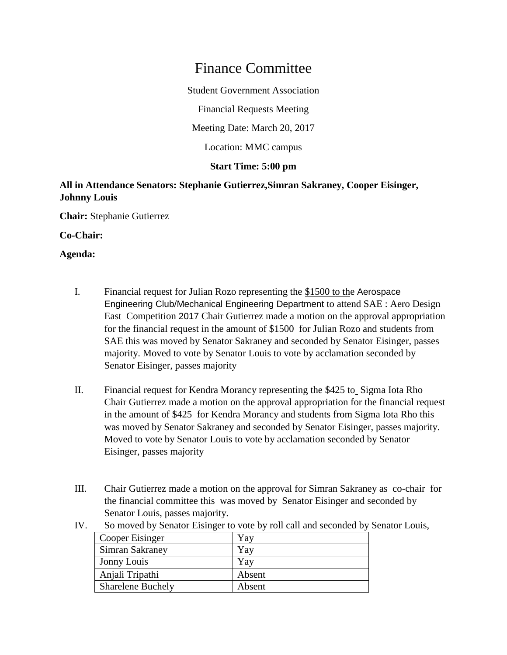# Finance Committee

Student Government Association

Financial Requests Meeting

Meeting Date: March 20, 2017

Location: MMC campus

## **Start Time: 5:00 pm**

## **All in Attendance Senators: Stephanie Gutierrez,Simran Sakraney, Cooper Eisinger, Johnny Louis**

**Chair:** Stephanie Gutierrez

#### **Co-Chair:**

#### **Agenda:**

- I. Financial request for Julian Rozo representing the \$1500 to the Aerospace Engineering Club/Mechanical Engineering Department to attend SAE : Aero Design East Competition 2017 Chair Gutierrez made a motion on the approval appropriation for the financial request in the amount of \$1500 for Julian Rozo and students from SAE this was moved by Senator Sakraney and seconded by Senator Eisinger, passes majority. Moved to vote by Senator Louis to vote by acclamation seconded by Senator Eisinger, passes majority
- II. Financial request for Kendra Morancy representing the \$425 to Sigma Iota Rho Chair Gutierrez made a motion on the approval appropriation for the financial request in the amount of \$425 for Kendra Morancy and students from Sigma Iota Rho this was moved by Senator Sakraney and seconded by Senator Eisinger, passes majority. Moved to vote by Senator Louis to vote by acclamation seconded by Senator Eisinger, passes majority
- III. Chair Gutierrez made a motion on the approval for Simran Sakraney as co-chair for the financial committee this was moved by Senator Eisinger and seconded by Senator Louis, passes majority.
	- Cooper Eisinger 7 | Yay Simran Sakraney | Yay Jonny Louis | Yay Anjali Tripathi Absent Sharelene Buchely Absent
- IV. So moved by Senator Eisinger to vote by roll call and seconded by Senator Louis,